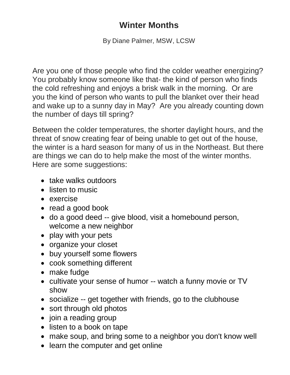## **Winter Months**

By Diane Palmer, MSW, LCSW

Are you one of those people who find the colder weather energizing? You probably know someone like that- the kind of person who finds the cold refreshing and enjoys a brisk walk in the morning. Or are you the kind of person who wants to pull the blanket over their head and wake up to a sunny day in May? Are you already counting down the number of days till spring?

Between the colder temperatures, the shorter daylight hours, and the threat of snow creating fear of being unable to get out of the house, the winter is a hard season for many of us in the Northeast. But there are things we can do to help make the most of the winter months. Here are some suggestions:

- take walks outdoors
- listen to music
- exercise
- read a good book
- do a good deed -- give blood, visit a homebound person, welcome a new neighbor
- play with your pets
- organize your closet
- buy yourself some flowers
- cook something different
- make fudge
- cultivate your sense of humor -- watch a funny movie or TV show
- socialize -- get together with friends, go to the clubhouse
- sort through old photos
- join a reading group
- listen to a book on tape
- make soup, and bring some to a neighbor you don't know well
- learn the computer and get online